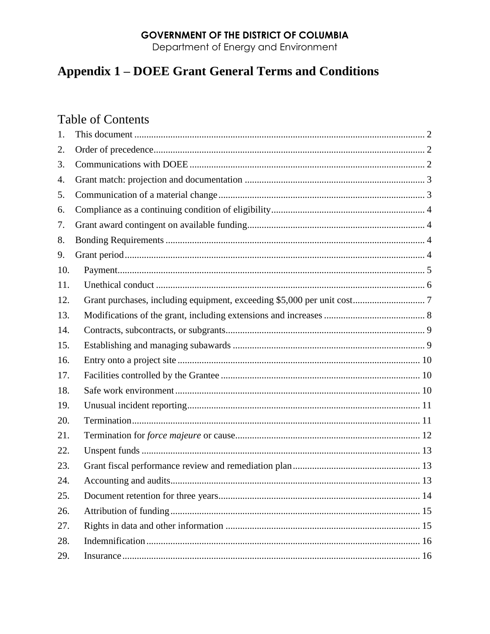# **GOVERNMENT OF THE DISTRICT OF COLUMBIA**

Department of Energy and Environment

# **Appendix 1 - DOEE Grant General Terms and Conditions**

# **Table of Contents**

| 1.  |  |
|-----|--|
| 2.  |  |
| 3.  |  |
| 4.  |  |
| 5.  |  |
| 6.  |  |
| 7.  |  |
| 8.  |  |
| 9.  |  |
| 10. |  |
| 11. |  |
| 12. |  |
| 13. |  |
| 14. |  |
| 15. |  |
| 16. |  |
| 17. |  |
| 18. |  |
| 19. |  |
| 20. |  |
| 21. |  |
| 22. |  |
| 23. |  |
| 24. |  |
| 25. |  |
| 26. |  |
| 27. |  |
| 28. |  |
| 29. |  |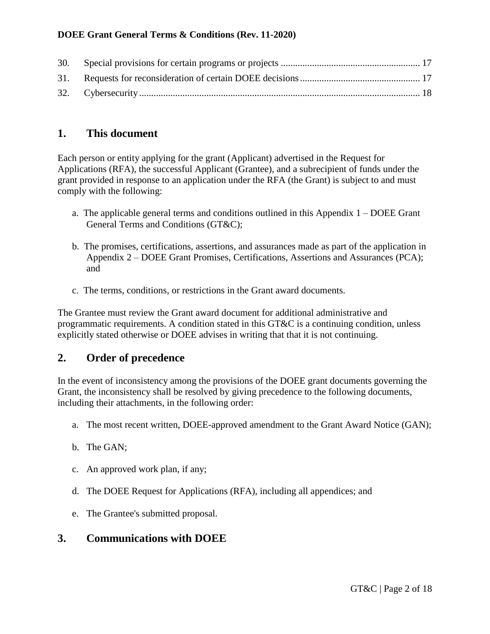# <span id="page-1-0"></span>**1. This document**

Each person or entity applying for the grant (Applicant) advertised in the Request for Applications (RFA), the successful Applicant (Grantee), and a subrecipient of funds under the grant provided in response to an application under the RFA (the Grant) is subject to and must comply with the following:

- a. The applicable general terms and conditions outlined in this Appendix  $1 DOEE$  Grant General Terms and Conditions (GT&C);
- b. The promises, certifications, assertions, and assurances made as part of the application in Appendix 2 – DOEE Grant Promises, Certifications, Assertions and Assurances (PCA); and
- c. The terms, conditions, or restrictions in the Grant award documents.

The Grantee must review the Grant award document for additional administrative and programmatic requirements. A condition stated in this GT&C is a continuing condition, unless explicitly stated otherwise or DOEE advises in writing that that it is not continuing.

# <span id="page-1-1"></span>**2. Order of precedence**

In the event of inconsistency among the provisions of the DOEE grant documents governing the Grant, the inconsistency shall be resolved by giving precedence to the following documents, including their attachments, in the following order:

- a. The most recent written, DOEE-approved amendment to the Grant Award Notice (GAN);
- b. The GAN;
- c. An approved work plan, if any;
- d. The DOEE Request for Applications (RFA), including all appendices; and
- e. The Grantee's submitted proposal.

# <span id="page-1-2"></span>**3. Communications with DOEE**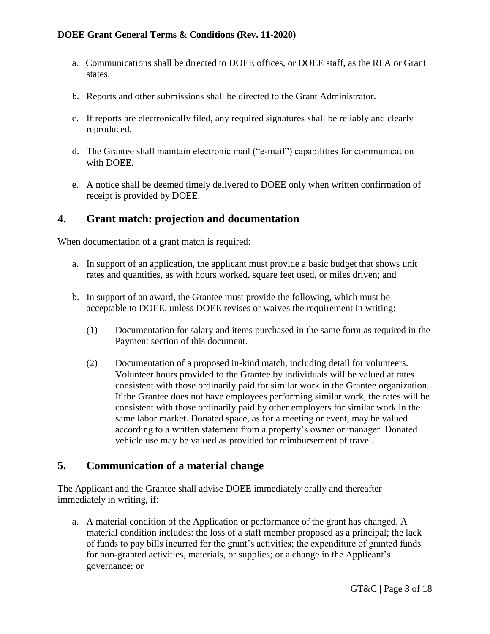- a. Communications shall be directed to DOEE offices, or DOEE staff, as the RFA or Grant states.
- b. Reports and other submissions shall be directed to the Grant Administrator.
- c. If reports are electronically filed, any required signatures shall be reliably and clearly reproduced.
- d. The Grantee shall maintain electronic mail ("e-mail") capabilities for communication with DOEE.
- e. A notice shall be deemed timely delivered to DOEE only when written confirmation of receipt is provided by DOEE.

# <span id="page-2-0"></span>**4. Grant match: projection and documentation**

When documentation of a grant match is required:

- a. In support of an application, the applicant must provide a basic budget that shows unit rates and quantities, as with hours worked, square feet used, or miles driven; and
- b. In support of an award, the Grantee must provide the following, which must be acceptable to DOEE, unless DOEE revises or waives the requirement in writing:
	- (1) Documentation for salary and items purchased in the same form as required in the Payment section of this document.
	- (2) Documentation of a proposed in-kind match, including detail for volunteers. Volunteer hours provided to the Grantee by individuals will be valued at rates consistent with those ordinarily paid for similar work in the Grantee organization. If the Grantee does not have employees performing similar work, the rates will be consistent with those ordinarily paid by other employers for similar work in the same labor market. Donated space, as for a meeting or event, may be valued according to a written statement from a property's owner or manager. Donated vehicle use may be valued as provided for reimbursement of travel.

# <span id="page-2-1"></span>**5. Communication of a material change**

The Applicant and the Grantee shall advise DOEE immediately orally and thereafter immediately in writing, if:

a. A material condition of the Application or performance of the grant has changed. A material condition includes: the loss of a staff member proposed as a principal; the lack of funds to pay bills incurred for the grant's activities; the expenditure of granted funds for non-granted activities, materials, or supplies; or a change in the Applicant's governance; or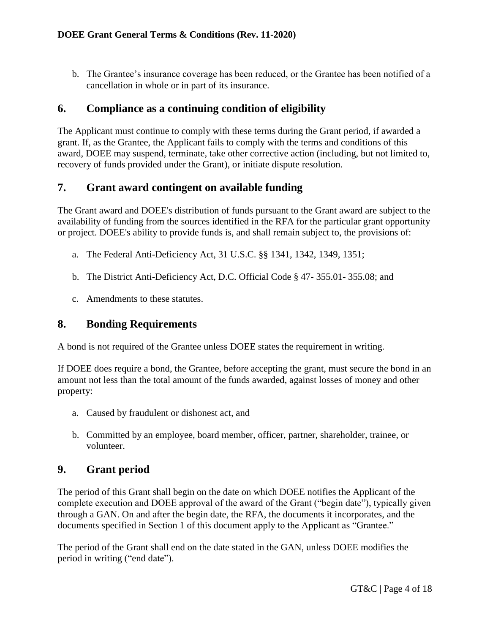b. The Grantee's insurance coverage has been reduced, or the Grantee has been notified of a cancellation in whole or in part of its insurance.

# <span id="page-3-0"></span>**6. Compliance as a continuing condition of eligibility**

The Applicant must continue to comply with these terms during the Grant period, if awarded a grant. If, as the Grantee, the Applicant fails to comply with the terms and conditions of this award, DOEE may suspend, terminate, take other corrective action (including, but not limited to, recovery of funds provided under the Grant), or initiate dispute resolution.

### <span id="page-3-1"></span>**7. Grant award contingent on available funding**

The Grant award and DOEE's distribution of funds pursuant to the Grant award are subject to the availability of funding from the sources identified in the RFA for the particular grant opportunity or project. DOEE's ability to provide funds is, and shall remain subject to, the provisions of:

- a. The Federal Anti-Deficiency Act, 31 U.S.C. §§ 1341, 1342, 1349, 1351;
- b. The District Anti-Deficiency Act, D.C. Official Code § 47- 355.01- 355.08; and
- c. Amendments to these statutes.

### <span id="page-3-2"></span>**8. Bonding Requirements**

A bond is not required of the Grantee unless DOEE states the requirement in writing.

If DOEE does require a bond, the Grantee, before accepting the grant, must secure the bond in an amount not less than the total amount of the funds awarded, against losses of money and other property:

- a. Caused by fraudulent or dishonest act, and
- b. Committed by an employee, board member, officer, partner, shareholder, trainee, or volunteer.

# <span id="page-3-3"></span>**9. Grant period**

The period of this Grant shall begin on the date on which DOEE notifies the Applicant of the complete execution and DOEE approval of the award of the Grant ("begin date"), typically given through a GAN. On and after the begin date, the RFA, the documents it incorporates, and the documents specified in Section 1 of this document apply to the Applicant as "Grantee."

The period of the Grant shall end on the date stated in the GAN, unless DOEE modifies the period in writing ("end date").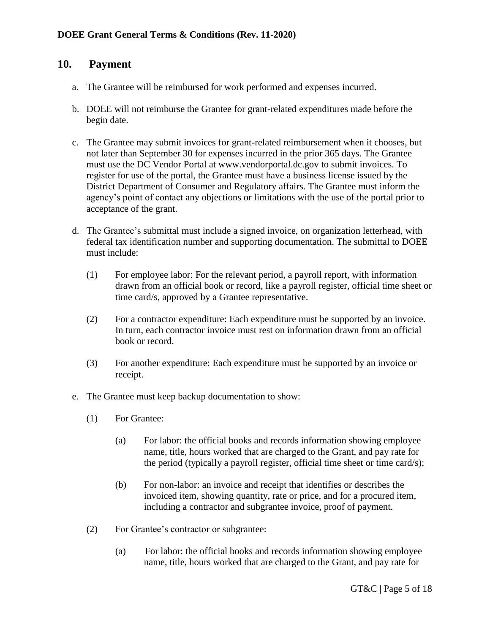### **10. Payment**

- <span id="page-4-0"></span>a. The Grantee will be reimbursed for work performed and expenses incurred.
- b. DOEE will not reimburse the Grantee for grant-related expenditures made before the begin date.
- c. The Grantee may submit invoices for grant-related reimbursement when it chooses, but not later than September 30 for expenses incurred in the prior 365 days. The Grantee must use the DC Vendor Portal at www.vendorportal.dc.gov to submit invoices. To register for use of the portal, the Grantee must have a business license issued by the District Department of Consumer and Regulatory affairs. The Grantee must inform the agency's point of contact any objections or limitations with the use of the portal prior to acceptance of the grant.
- d. The Grantee's submittal must include a signed invoice, on organization letterhead, with federal tax identification number and supporting documentation. The submittal to DOEE must include:
	- (1) For employee labor: For the relevant period, a payroll report, with information drawn from an official book or record, like a payroll register, official time sheet or time card/s, approved by a Grantee representative.
	- (2) For a contractor expenditure: Each expenditure must be supported by an invoice. In turn, each contractor invoice must rest on information drawn from an official book or record.
	- (3) For another expenditure: Each expenditure must be supported by an invoice or receipt.
- e. The Grantee must keep backup documentation to show:
	- (1) For Grantee:
		- (a) For labor: the official books and records information showing employee name, title, hours worked that are charged to the Grant, and pay rate for the period (typically a payroll register, official time sheet or time card/s);
		- (b) For non-labor: an invoice and receipt that identifies or describes the invoiced item, showing quantity, rate or price, and for a procured item, including a contractor and subgrantee invoice, proof of payment.
	- (2) For Grantee's contractor or subgrantee:
		- (a) For labor: the official books and records information showing employee name, title, hours worked that are charged to the Grant, and pay rate for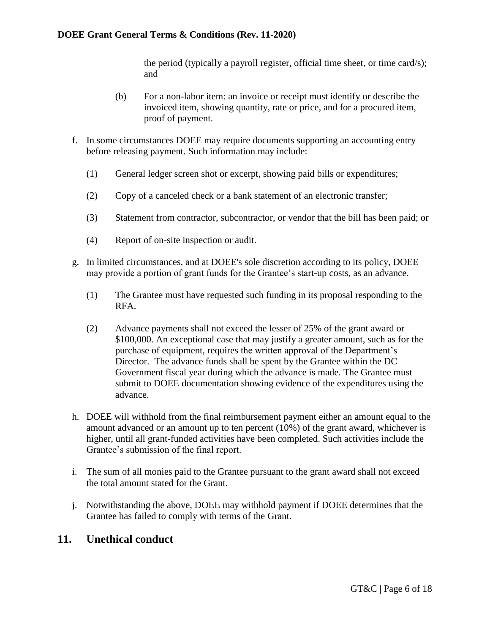the period (typically a payroll register, official time sheet, or time card/s); and

- (b) For a non-labor item: an invoice or receipt must identify or describe the invoiced item, showing quantity, rate or price, and for a procured item, proof of payment.
- f. In some circumstances DOEE may require documents supporting an accounting entry before releasing payment. Such information may include:
	- (1) General ledger screen shot or excerpt, showing paid bills or expenditures;
	- (2) Copy of a canceled check or a bank statement of an electronic transfer;
	- (3) Statement from contractor, subcontractor, or vendor that the bill has been paid; or
	- (4) Report of on-site inspection or audit.
- g. In limited circumstances, and at DOEE's sole discretion according to its policy, DOEE may provide a portion of grant funds for the Grantee's start-up costs, as an advance.
	- (1) The Grantee must have requested such funding in its proposal responding to the RFA.
	- (2) Advance payments shall not exceed the lesser of 25% of the grant award or \$100,000. An exceptional case that may justify a greater amount, such as for the purchase of equipment, requires the written approval of the Department's Director. The advance funds shall be spent by the Grantee within the DC Government fiscal year during which the advance is made. The Grantee must submit to DOEE documentation showing evidence of the expenditures using the advance.
- h. DOEE will withhold from the final reimbursement payment either an amount equal to the amount advanced or an amount up to ten percent (10%) of the grant award, whichever is higher, until all grant-funded activities have been completed. Such activities include the Grantee's submission of the final report.
- i. The sum of all monies paid to the Grantee pursuant to the grant award shall not exceed the total amount stated for the Grant.
- j. Notwithstanding the above, DOEE may withhold payment if DOEE determines that the Grantee has failed to comply with terms of the Grant.

#### <span id="page-5-0"></span>**11. Unethical conduct**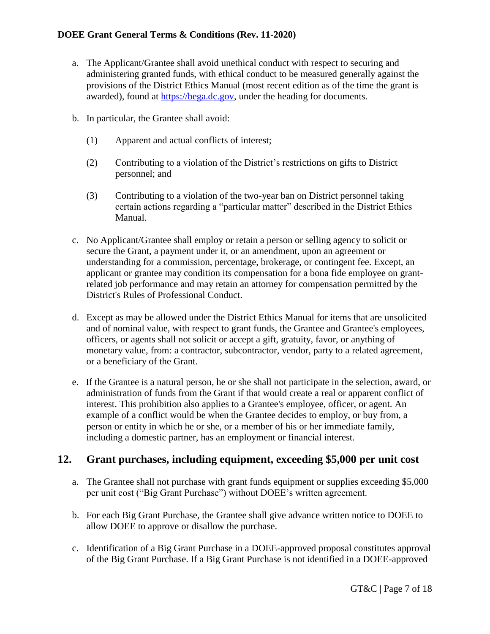- a. The Applicant/Grantee shall avoid unethical conduct with respect to securing and administering granted funds, with ethical conduct to be measured generally against the provisions of the District Ethics Manual (most recent edition as of the time the grant is awarded), found at [https://bega.dc.gov,](https://bega.dc.gov/) under the heading for documents.
- b. In particular, the Grantee shall avoid:
	- (1) Apparent and actual conflicts of interest;
	- (2) Contributing to a violation of the District's restrictions on gifts to District personnel; and
	- (3) Contributing to a violation of the two-year ban on District personnel taking certain actions regarding a "particular matter" described in the District Ethics Manual.
- c. No Applicant/Grantee shall employ or retain a person or selling agency to solicit or secure the Grant, a payment under it, or an amendment, upon an agreement or understanding for a commission, percentage, brokerage, or contingent fee. Except, an applicant or grantee may condition its compensation for a bona fide employee on grantrelated job performance and may retain an attorney for compensation permitted by the District's Rules of Professional Conduct.
- d. Except as may be allowed under the District Ethics Manual for items that are unsolicited and of nominal value, with respect to grant funds, the Grantee and Grantee's employees, officers, or agents shall not solicit or accept a gift, gratuity, favor, or anything of monetary value, from: a contractor, subcontractor, vendor, party to a related agreement, or a beneficiary of the Grant.
- e. If the Grantee is a natural person, he or she shall not participate in the selection, award, or administration of funds from the Grant if that would create a real or apparent conflict of interest. This prohibition also applies to a Grantee's employee, officer, or agent. An example of a conflict would be when the Grantee decides to employ, or buy from, a person or entity in which he or she, or a member of his or her immediate family, including a domestic partner, has an employment or financial interest.

### <span id="page-6-0"></span>**12. Grant purchases, including equipment, exceeding \$5,000 per unit cost**

- a. The Grantee shall not purchase with grant funds equipment or supplies exceeding \$5,000 per unit cost ("Big Grant Purchase") without DOEE's written agreement.
- b. For each Big Grant Purchase, the Grantee shall give advance written notice to DOEE to allow DOEE to approve or disallow the purchase.
- c. Identification of a Big Grant Purchase in a DOEE-approved proposal constitutes approval of the Big Grant Purchase. If a Big Grant Purchase is not identified in a DOEE-approved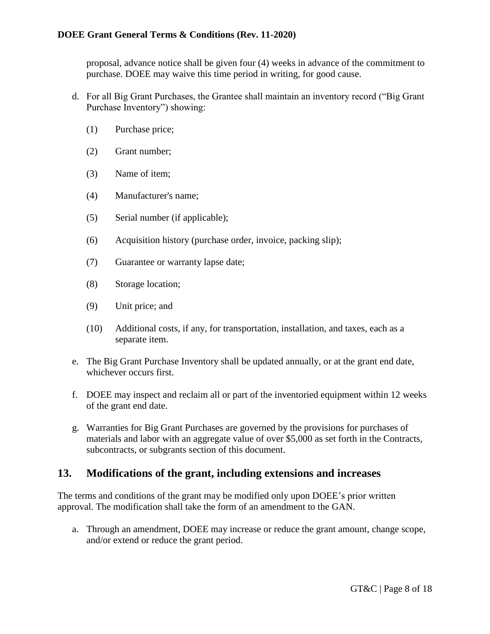proposal, advance notice shall be given four (4) weeks in advance of the commitment to purchase. DOEE may waive this time period in writing, for good cause.

- d. For all Big Grant Purchases, the Grantee shall maintain an inventory record ("Big Grant Purchase Inventory") showing:
	- (1) Purchase price;
	- (2) Grant number;
	- (3) Name of item;
	- (4) Manufacturer's name;
	- (5) Serial number (if applicable);
	- (6) Acquisition history (purchase order, invoice, packing slip);
	- (7) Guarantee or warranty lapse date;
	- (8) Storage location;
	- (9) Unit price; and
	- (10) Additional costs, if any, for transportation, installation, and taxes, each as a separate item.
- e. The Big Grant Purchase Inventory shall be updated annually, or at the grant end date, whichever occurs first.
- f. DOEE may inspect and reclaim all or part of the inventoried equipment within 12 weeks of the grant end date.
- g. Warranties for Big Grant Purchases are governed by the provisions for purchases of materials and labor with an aggregate value of over \$5,000 as set forth in the Contracts, subcontracts, or subgrants section of this document.

### <span id="page-7-0"></span>**13. Modifications of the grant, including extensions and increases**

The terms and conditions of the grant may be modified only upon DOEE's prior written approval. The modification shall take the form of an amendment to the GAN.

a. Through an amendment, DOEE may increase or reduce the grant amount, change scope, and/or extend or reduce the grant period.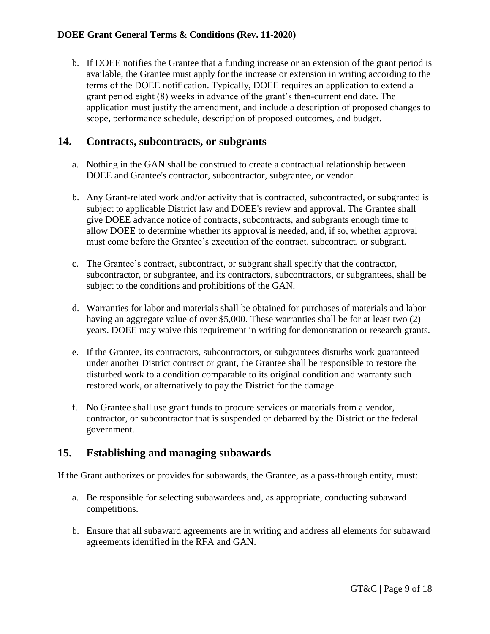b. If DOEE notifies the Grantee that a funding increase or an extension of the grant period is available, the Grantee must apply for the increase or extension in writing according to the terms of the DOEE notification. Typically, DOEE requires an application to extend a grant period eight (8) weeks in advance of the grant's then-current end date. The application must justify the amendment, and include a description of proposed changes to scope, performance schedule, description of proposed outcomes, and budget.

# <span id="page-8-0"></span>**14. Contracts, subcontracts, or subgrants**

- a. Nothing in the GAN shall be construed to create a contractual relationship between DOEE and Grantee's contractor, subcontractor, subgrantee, or vendor.
- b. Any Grant-related work and/or activity that is contracted, subcontracted, or subgranted is subject to applicable District law and DOEE's review and approval. The Grantee shall give DOEE advance notice of contracts, subcontracts, and subgrants enough time to allow DOEE to determine whether its approval is needed, and, if so, whether approval must come before the Grantee's execution of the contract, subcontract, or subgrant.
- c. The Grantee's contract, subcontract, or subgrant shall specify that the contractor, subcontractor, or subgrantee, and its contractors, subcontractors, or subgrantees, shall be subject to the conditions and prohibitions of the GAN.
- d. Warranties for labor and materials shall be obtained for purchases of materials and labor having an aggregate value of over \$5,000. These warranties shall be for at least two (2) years. DOEE may waive this requirement in writing for demonstration or research grants.
- e. If the Grantee, its contractors, subcontractors, or subgrantees disturbs work guaranteed under another District contract or grant, the Grantee shall be responsible to restore the disturbed work to a condition comparable to its original condition and warranty such restored work, or alternatively to pay the District for the damage.
- f. No Grantee shall use grant funds to procure services or materials from a vendor, contractor, or subcontractor that is suspended or debarred by the District or the federal government.

### <span id="page-8-1"></span>**15. Establishing and managing subawards**

If the Grant authorizes or provides for subawards, the Grantee, as a pass-through entity, must:

- a. Be responsible for selecting subawardees and, as appropriate, conducting subaward competitions.
- b. Ensure that all subaward agreements are in writing and address all elements for subaward agreements identified in the RFA and GAN.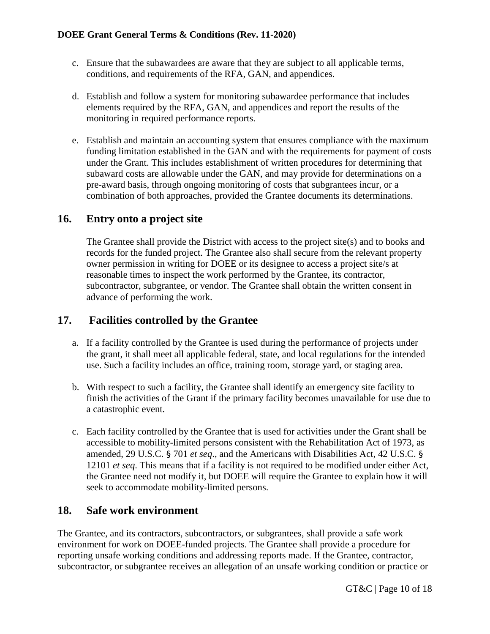- c. Ensure that the subawardees are aware that they are subject to all applicable terms, conditions, and requirements of the RFA, GAN, and appendices.
- d. Establish and follow a system for monitoring subawardee performance that includes elements required by the RFA, GAN, and appendices and report the results of the monitoring in required performance reports.
- e. Establish and maintain an accounting system that ensures compliance with the maximum funding limitation established in the GAN and with the requirements for payment of costs under the Grant. This includes establishment of written procedures for determining that subaward costs are allowable under the GAN, and may provide for determinations on a pre-award basis, through ongoing monitoring of costs that subgrantees incur, or a combination of both approaches, provided the Grantee documents its determinations.

# <span id="page-9-0"></span>**16. Entry onto a project site**

The Grantee shall provide the District with access to the project site(s) and to books and records for the funded project. The Grantee also shall secure from the relevant property owner permission in writing for DOEE or its designee to access a project site/s at reasonable times to inspect the work performed by the Grantee, its contractor, subcontractor, subgrantee, or vendor. The Grantee shall obtain the written consent in advance of performing the work.

# **17. Facilities controlled by the Grantee**

- <span id="page-9-1"></span>a. If a facility controlled by the Grantee is used during the performance of projects under the grant, it shall meet all applicable federal, state, and local regulations for the intended use. Such a facility includes an office, training room, storage yard, or staging area.
- b. With respect to such a facility, the Grantee shall identify an emergency site facility to finish the activities of the Grant if the primary facility becomes unavailable for use due to a catastrophic event.
- c. Each facility controlled by the Grantee that is used for activities under the Grant shall be accessible to mobility-limited persons consistent with the Rehabilitation Act of 1973, as amended, 29 U.S.C. § 701 *et seq*., and the Americans with Disabilities Act, 42 U.S.C. § 12101 *et seq*. This means that if a facility is not required to be modified under either Act, the Grantee need not modify it, but DOEE will require the Grantee to explain how it will seek to accommodate mobility-limited persons.

# <span id="page-9-2"></span>**18. Safe work environment**

The Grantee, and its contractors, subcontractors, or subgrantees, shall provide a safe work environment for work on DOEE-funded projects. The Grantee shall provide a procedure for reporting unsafe working conditions and addressing reports made. If the Grantee, contractor, subcontractor, or subgrantee receives an allegation of an unsafe working condition or practice or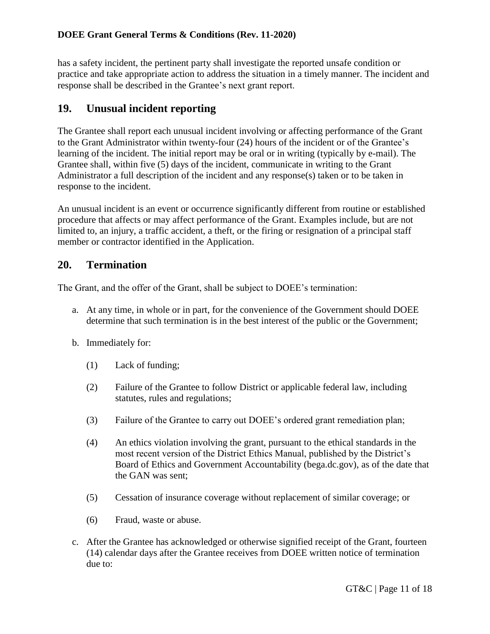has a safety incident, the pertinent party shall investigate the reported unsafe condition or practice and take appropriate action to address the situation in a timely manner. The incident and response shall be described in the Grantee's next grant report.

# <span id="page-10-0"></span>**19. Unusual incident reporting**

The Grantee shall report each unusual incident involving or affecting performance of the Grant to the Grant Administrator within twenty-four (24) hours of the incident or of the Grantee's learning of the incident. The initial report may be oral or in writing (typically by e-mail). The Grantee shall, within five (5) days of the incident, communicate in writing to the Grant Administrator a full description of the incident and any response(s) taken or to be taken in response to the incident.

An unusual incident is an event or occurrence significantly different from routine or established procedure that affects or may affect performance of the Grant. Examples include, but are not limited to, an injury, a traffic accident, a theft, or the firing or resignation of a principal staff member or contractor identified in the Application.

# <span id="page-10-1"></span>**20. Termination**

The Grant, and the offer of the Grant, shall be subject to DOEE's termination:

- a. At any time, in whole or in part, for the convenience of the Government should DOEE determine that such termination is in the best interest of the public or the Government;
- b. Immediately for:
	- (1) Lack of funding;
	- (2) Failure of the Grantee to follow District or applicable federal law, including statutes, rules and regulations;
	- (3) Failure of the Grantee to carry out DOEE's ordered grant remediation plan;
	- (4) An ethics violation involving the grant, pursuant to the ethical standards in the most recent version of the District Ethics Manual, published by the District's Board of Ethics and Government Accountability (bega.dc.gov), as of the date that the GAN was sent;
	- (5) Cessation of insurance coverage without replacement of similar coverage; or
	- (6) Fraud, waste or abuse.
- c. After the Grantee has acknowledged or otherwise signified receipt of the Grant, fourteen (14) calendar days after the Grantee receives from DOEE written notice of termination due to: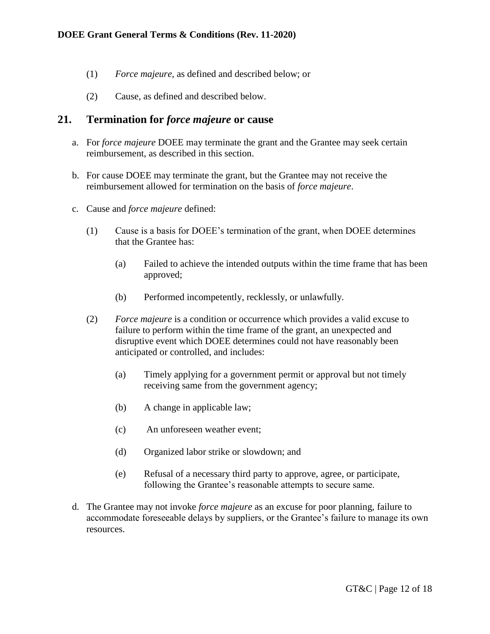- (1) *Force majeure*, as defined and described below; or
- (2) Cause, as defined and described below.

#### <span id="page-11-0"></span>**21. Termination for** *force majeure* **or cause**

- a. For *force majeure* DOEE may terminate the grant and the Grantee may seek certain reimbursement, as described in this section.
- b. For cause DOEE may terminate the grant, but the Grantee may not receive the reimbursement allowed for termination on the basis of *force majeure*.
- c. Cause and *force majeure* defined:
	- (1) Cause is a basis for DOEE's termination of the grant, when DOEE determines that the Grantee has:
		- (a) Failed to achieve the intended outputs within the time frame that has been approved;
		- (b) Performed incompetently, recklessly, or unlawfully.
	- (2) *Force majeure* is a condition or occurrence which provides a valid excuse to failure to perform within the time frame of the grant, an unexpected and disruptive event which DOEE determines could not have reasonably been anticipated or controlled, and includes:
		- (a) Timely applying for a government permit or approval but not timely receiving same from the government agency;
		- (b) A change in applicable law;
		- (c) An unforeseen weather event;
		- (d) Organized labor strike or slowdown; and
		- (e) Refusal of a necessary third party to approve, agree, or participate, following the Grantee's reasonable attempts to secure same.
- d. The Grantee may not invoke *force majeure* as an excuse for poor planning, failure to accommodate foreseeable delays by suppliers, or the Grantee's failure to manage its own resources.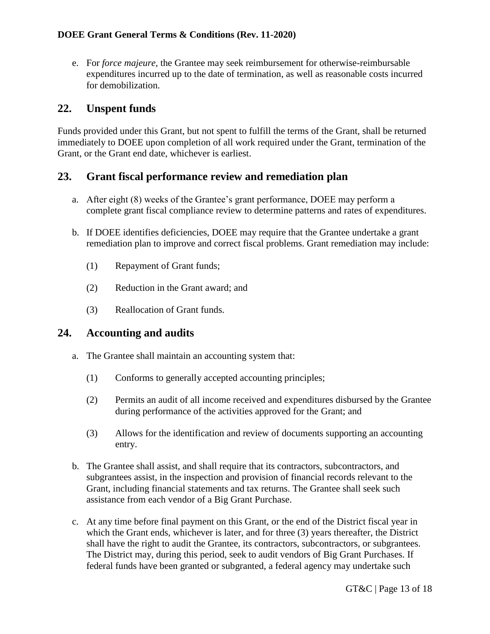e. For *force majeure,* the Grantee may seek reimbursement for otherwise-reimbursable expenditures incurred up to the date of termination, as well as reasonable costs incurred for demobilization.

# <span id="page-12-0"></span>**22. Unspent funds**

Funds provided under this Grant, but not spent to fulfill the terms of the Grant, shall be returned immediately to DOEE upon completion of all work required under the Grant, termination of the Grant, or the Grant end date, whichever is earliest.

# <span id="page-12-1"></span>**23. Grant fiscal performance review and remediation plan**

- a. After eight (8) weeks of the Grantee's grant performance, DOEE may perform a complete grant fiscal compliance review to determine patterns and rates of expenditures.
- b. If DOEE identifies deficiencies, DOEE may require that the Grantee undertake a grant remediation plan to improve and correct fiscal problems. Grant remediation may include:
	- (1) Repayment of Grant funds;
	- (2) Reduction in the Grant award; and
	- (3) Reallocation of Grant funds.

### <span id="page-12-2"></span>**24. Accounting and audits**

- a. The Grantee shall maintain an accounting system that:
	- (1) Conforms to generally accepted accounting principles;
	- (2) Permits an audit of all income received and expenditures disbursed by the Grantee during performance of the activities approved for the Grant; and
	- (3) Allows for the identification and review of documents supporting an accounting entry.
- b. The Grantee shall assist, and shall require that its contractors, subcontractors, and subgrantees assist, in the inspection and provision of financial records relevant to the Grant, including financial statements and tax returns. The Grantee shall seek such assistance from each vendor of a Big Grant Purchase.
- c. At any time before final payment on this Grant, or the end of the District fiscal year in which the Grant ends, whichever is later, and for three (3) years thereafter, the District shall have the right to audit the Grantee, its contractors, subcontractors, or subgrantees. The District may, during this period, seek to audit vendors of Big Grant Purchases. If federal funds have been granted or subgranted, a federal agency may undertake such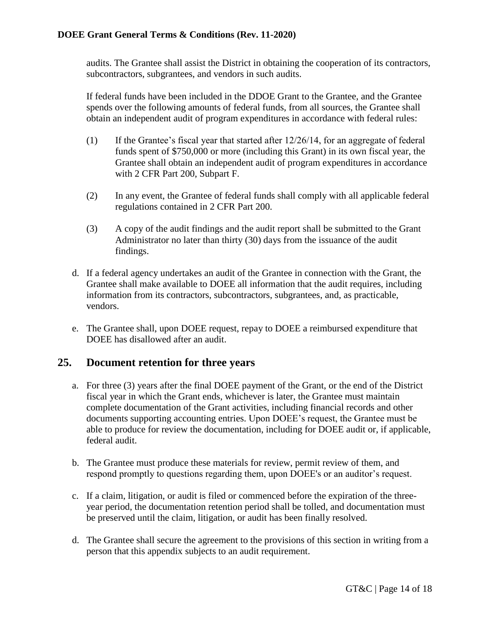audits. The Grantee shall assist the District in obtaining the cooperation of its contractors, subcontractors, subgrantees, and vendors in such audits.

If federal funds have been included in the DDOE Grant to the Grantee, and the Grantee spends over the following amounts of federal funds, from all sources, the Grantee shall obtain an independent audit of program expenditures in accordance with federal rules:

- (1) If the Grantee's fiscal year that started after 12/26/14, for an aggregate of federal funds spent of \$750,000 or more (including this Grant) in its own fiscal year, the Grantee shall obtain an independent audit of program expenditures in accordance with 2 CFR Part 200, Subpart F.
- (2) In any event, the Grantee of federal funds shall comply with all applicable federal regulations contained in 2 CFR Part 200.
- (3) A copy of the audit findings and the audit report shall be submitted to the Grant Administrator no later than thirty (30) days from the issuance of the audit findings.
- d. If a federal agency undertakes an audit of the Grantee in connection with the Grant, the Grantee shall make available to DOEE all information that the audit requires, including information from its contractors, subcontractors, subgrantees, and, as practicable, vendors.
- e. The Grantee shall, upon DOEE request, repay to DOEE a reimbursed expenditure that DOEE has disallowed after an audit.

# <span id="page-13-0"></span>**25. Document retention for three years**

- a. For three (3) years after the final DOEE payment of the Grant, or the end of the District fiscal year in which the Grant ends, whichever is later, the Grantee must maintain complete documentation of the Grant activities, including financial records and other documents supporting accounting entries. Upon DOEE's request, the Grantee must be able to produce for review the documentation, including for DOEE audit or, if applicable, federal audit.
- b. The Grantee must produce these materials for review, permit review of them, and respond promptly to questions regarding them, upon DOEE's or an auditor's request.
- c. If a claim, litigation, or audit is filed or commenced before the expiration of the threeyear period, the documentation retention period shall be tolled, and documentation must be preserved until the claim, litigation, or audit has been finally resolved.
- d. The Grantee shall secure the agreement to the provisions of this section in writing from a person that this appendix subjects to an audit requirement.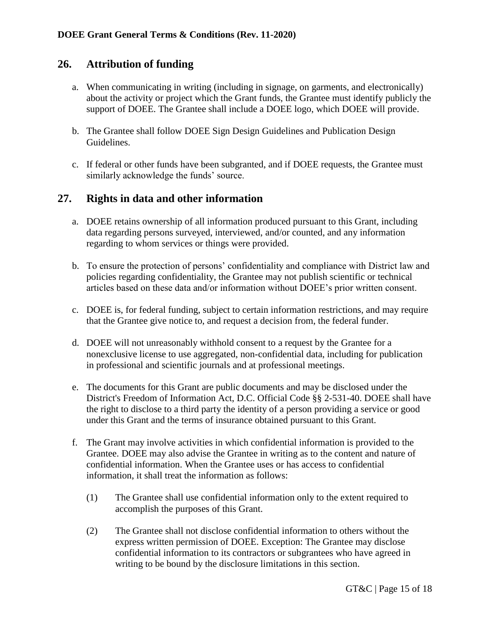# <span id="page-14-0"></span>**26. Attribution of funding**

- a. When communicating in writing (including in signage, on garments, and electronically) about the activity or project which the Grant funds, the Grantee must identify publicly the support of DOEE. The Grantee shall include a DOEE logo, which DOEE will provide.
- b. The Grantee shall follow DOEE Sign Design Guidelines and Publication Design Guidelines.
- c. If federal or other funds have been subgranted, and if DOEE requests, the Grantee must similarly acknowledge the funds' source.

### <span id="page-14-1"></span>**27. Rights in data and other information**

- a. DOEE retains ownership of all information produced pursuant to this Grant, including data regarding persons surveyed, interviewed, and/or counted, and any information regarding to whom services or things were provided.
- b. To ensure the protection of persons' confidentiality and compliance with District law and policies regarding confidentiality, the Grantee may not publish scientific or technical articles based on these data and/or information without DOEE's prior written consent.
- c. DOEE is, for federal funding, subject to certain information restrictions, and may require that the Grantee give notice to, and request a decision from, the federal funder.
- d. DOEE will not unreasonably withhold consent to a request by the Grantee for a nonexclusive license to use aggregated, non-confidential data, including for publication in professional and scientific journals and at professional meetings.
- e. The documents for this Grant are public documents and may be disclosed under the District's Freedom of Information Act, D.C. Official Code §§ 2-531-40. DOEE shall have the right to disclose to a third party the identity of a person providing a service or good under this Grant and the terms of insurance obtained pursuant to this Grant.
- f. The Grant may involve activities in which confidential information is provided to the Grantee. DOEE may also advise the Grantee in writing as to the content and nature of confidential information. When the Grantee uses or has access to confidential information, it shall treat the information as follows:
	- (1) The Grantee shall use confidential information only to the extent required to accomplish the purposes of this Grant.
	- (2) The Grantee shall not disclose confidential information to others without the express written permission of DOEE. Exception: The Grantee may disclose confidential information to its contractors or subgrantees who have agreed in writing to be bound by the disclosure limitations in this section.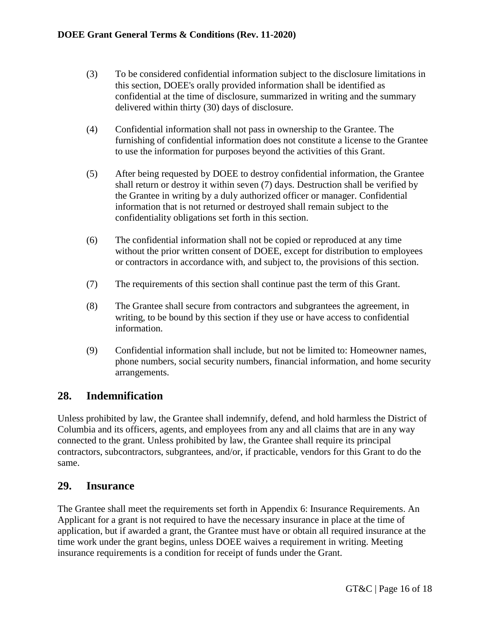- (3) To be considered confidential information subject to the disclosure limitations in this section, DOEE's orally provided information shall be identified as confidential at the time of disclosure, summarized in writing and the summary delivered within thirty (30) days of disclosure.
- (4) Confidential information shall not pass in ownership to the Grantee. The furnishing of confidential information does not constitute a license to the Grantee to use the information for purposes beyond the activities of this Grant.
- (5) After being requested by DOEE to destroy confidential information, the Grantee shall return or destroy it within seven (7) days. Destruction shall be verified by the Grantee in writing by a duly authorized officer or manager. Confidential information that is not returned or destroyed shall remain subject to the confidentiality obligations set forth in this section.
- (6) The confidential information shall not be copied or reproduced at any time without the prior written consent of DOEE, except for distribution to employees or contractors in accordance with, and subject to, the provisions of this section.
- (7) The requirements of this section shall continue past the term of this Grant.
- (8) The Grantee shall secure from contractors and subgrantees the agreement, in writing, to be bound by this section if they use or have access to confidential information.
- (9) Confidential information shall include, but not be limited to: Homeowner names, phone numbers, social security numbers, financial information, and home security arrangements.

# <span id="page-15-0"></span>**28. Indemnification**

Unless prohibited by law, the Grantee shall indemnify, defend, and hold harmless the District of Columbia and its officers, agents, and employees from any and all claims that are in any way connected to the grant. Unless prohibited by law, the Grantee shall require its principal contractors, subcontractors, subgrantees, and/or, if practicable, vendors for this Grant to do the same.

### <span id="page-15-1"></span>**29. Insurance**

The Grantee shall meet the requirements set forth in Appendix 6: Insurance Requirements. An Applicant for a grant is not required to have the necessary insurance in place at the time of application, but if awarded a grant, the Grantee must have or obtain all required insurance at the time work under the grant begins, unless DOEE waives a requirement in writing. Meeting insurance requirements is a condition for receipt of funds under the Grant.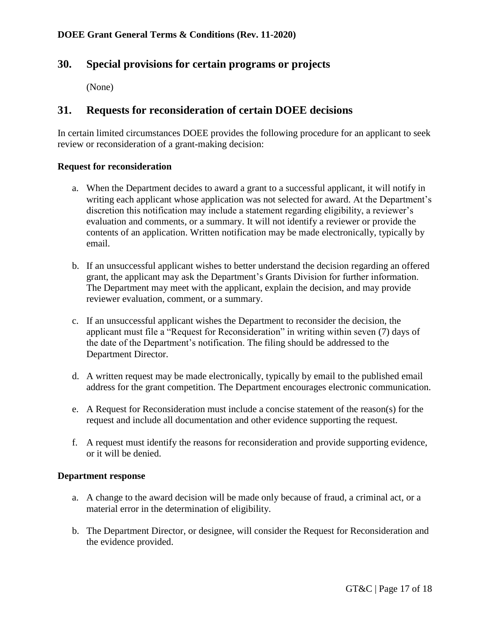### <span id="page-16-0"></span>**30. Special provisions for certain programs or projects**

(None)

# <span id="page-16-1"></span>**31. Requests for reconsideration of certain DOEE decisions**

In certain limited circumstances DOEE provides the following procedure for an applicant to seek review or reconsideration of a grant-making decision:

#### **Request for reconsideration**

- a. When the Department decides to award a grant to a successful applicant, it will notify in writing each applicant whose application was not selected for award. At the Department's discretion this notification may include a statement regarding eligibility, a reviewer's evaluation and comments, or a summary. It will not identify a reviewer or provide the contents of an application. Written notification may be made electronically, typically by email.
- b. If an unsuccessful applicant wishes to better understand the decision regarding an offered grant, the applicant may ask the Department's Grants Division for further information. The Department may meet with the applicant, explain the decision, and may provide reviewer evaluation, comment, or a summary.
- c. If an unsuccessful applicant wishes the Department to reconsider the decision, the applicant must file a "Request for Reconsideration" in writing within seven (7) days of the date of the Department's notification. The filing should be addressed to the Department Director.
- d. A written request may be made electronically, typically by email to the published email address for the grant competition. The Department encourages electronic communication.
- e. A Request for Reconsideration must include a concise statement of the reason(s) for the request and include all documentation and other evidence supporting the request.
- f. A request must identify the reasons for reconsideration and provide supporting evidence, or it will be denied.

#### **Department response**

- a. A change to the award decision will be made only because of fraud, a criminal act, or a material error in the determination of eligibility.
- b. The Department Director, or designee, will consider the Request for Reconsideration and the evidence provided.